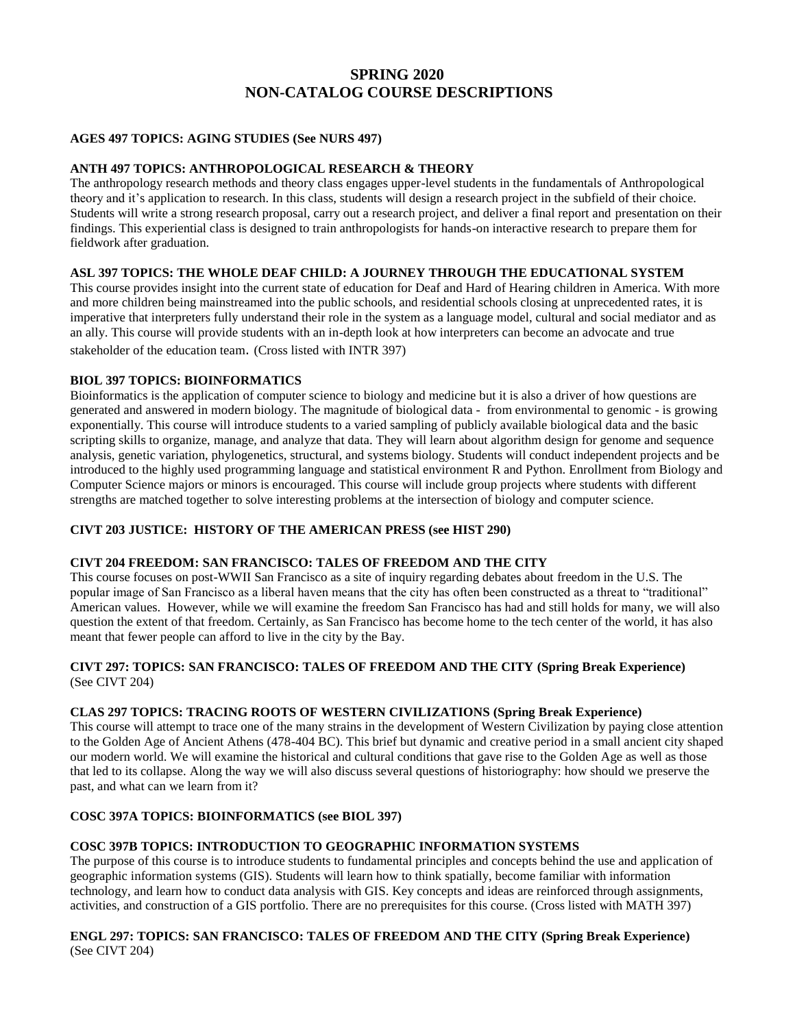# **SPRING 2020 NON-CATALOG COURSE DESCRIPTIONS**

# **AGES 497 TOPICS: AGING STUDIES (See NURS 497)**

#### **ANTH 497 TOPICS: ANTHROPOLOGICAL RESEARCH & THEORY**

The anthropology research methods and theory class engages upper-level students in the fundamentals of Anthropological theory and it's application to research. In this class, students will design a research project in the subfield of their choice. Students will write a strong research proposal, carry out a research project, and deliver a final report and presentation on their findings. This experiential class is designed to train anthropologists for hands-on interactive research to prepare them for fieldwork after graduation.

# **ASL 397 TOPICS: THE WHOLE DEAF CHILD: A JOURNEY THROUGH THE EDUCATIONAL SYSTEM**

This course provides insight into the current state of education for Deaf and Hard of Hearing children in America. With more and more children being mainstreamed into the public schools, and residential schools closing at unprecedented rates, it is imperative that interpreters fully understand their role in the system as a language model, cultural and social mediator and as an ally. This course will provide students with an in-depth look at how interpreters can become an advocate and true stakeholder of the education team. (Cross listed with INTR 397)

### **BIOL 397 TOPICS: BIOINFORMATICS**

Bioinformatics is the application of computer science to biology and medicine but it is also a driver of how questions are generated and answered in modern biology. The magnitude of biological data - from environmental to genomic - is growing exponentially. This course will introduce students to a varied sampling of publicly available biological data and the basic scripting skills to organize, manage, and analyze that data. They will learn about algorithm design for genome and sequence analysis, genetic variation, phylogenetics, structural, and systems biology. Students will conduct independent projects and be introduced to the highly used programming language and statistical environment R and Python. Enrollment from Biology and Computer Science majors or minors is encouraged. This course will include group projects where students with different strengths are matched together to solve interesting problems at the intersection of biology and computer science.

# **CIVT 203 JUSTICE: HISTORY OF THE AMERICAN PRESS (see HIST 290)**

# **CIVT 204 FREEDOM: SAN FRANCISCO: TALES OF FREEDOM AND THE CITY**

This course focuses on post-WWII San Francisco as a site of inquiry regarding debates about freedom in the U.S. The popular image of San Francisco as a liberal haven means that the city has often been constructed as a threat to "traditional" American values. However, while we will examine the freedom San Francisco has had and still holds for many, we will also question the extent of that freedom. Certainly, as San Francisco has become home to the tech center of the world, it has also meant that fewer people can afford to live in the city by the Bay.

# **CIVT 297: TOPICS: SAN FRANCISCO: TALES OF FREEDOM AND THE CITY (Spring Break Experience)** (See CIVT 204)

# **CLAS 297 TOPICS: TRACING ROOTS OF WESTERN CIVILIZATIONS (Spring Break Experience)**

This course will attempt to trace one of the many strains in the development of Western Civilization by paying close attention to the Golden Age of Ancient Athens (478-404 BC). This brief but dynamic and creative period in a small ancient city shaped our modern world. We will examine the historical and cultural conditions that gave rise to the Golden Age as well as those that led to its collapse. Along the way we will also discuss several questions of historiography: how should we preserve the past, and what can we learn from it?

# **COSC 397A TOPICS: BIOINFORMATICS (see BIOL 397)**

# **COSC 397B TOPICS: INTRODUCTION TO GEOGRAPHIC INFORMATION SYSTEMS**

The purpose of this course is to introduce students to fundamental principles and concepts behind the use and application of geographic information systems (GIS). Students will learn how to think spatially, become familiar with information technology, and learn how to conduct data analysis with GIS. Key concepts and ideas are reinforced through assignments, activities, and construction of a GIS portfolio. There are no prerequisites for this course. (Cross listed with MATH 397)

### **ENGL 297: TOPICS: SAN FRANCISCO: TALES OF FREEDOM AND THE CITY (Spring Break Experience)** (See CIVT 204)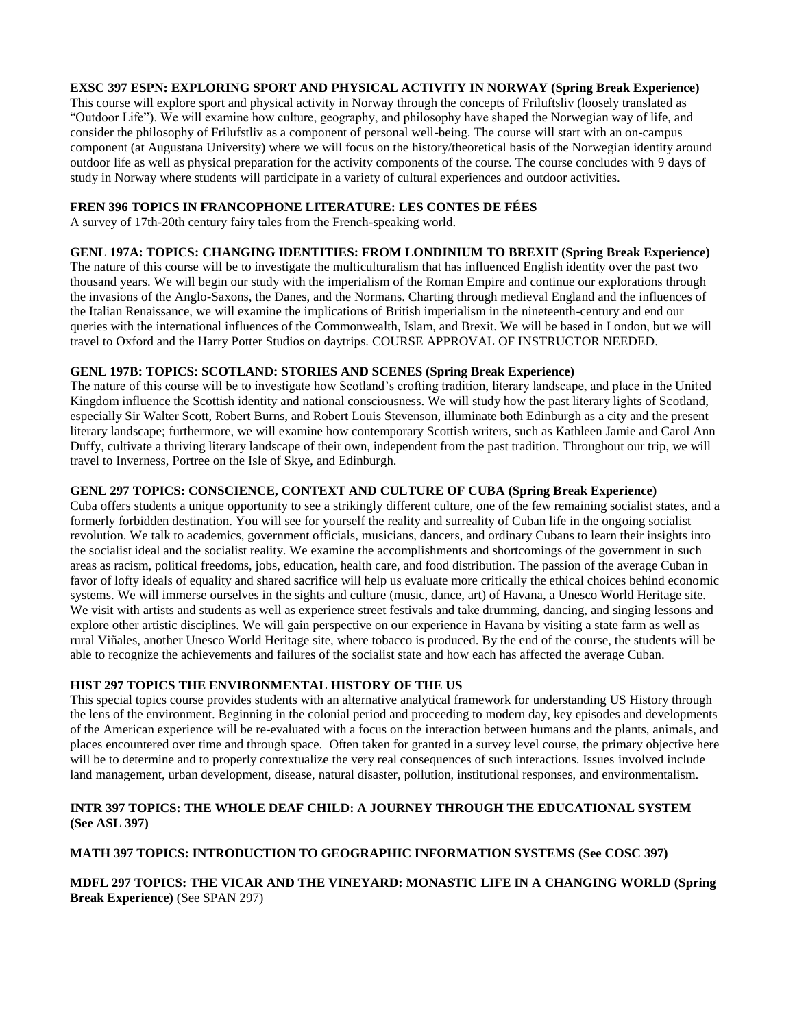# **EXSC 397 ESPN: EXPLORING SPORT AND PHYSICAL ACTIVITY IN NORWAY (Spring Break Experience)**

This course will explore sport and physical activity in Norway through the concepts of Friluftsliv (loosely translated as "Outdoor Life"). We will examine how culture, geography, and philosophy have shaped the Norwegian way of life, and consider the philosophy of Frilufstliv as a component of personal well-being. The course will start with an on-campus component (at Augustana University) where we will focus on the history/theoretical basis of the Norwegian identity around outdoor life as well as physical preparation for the activity components of the course. The course concludes with 9 days of study in Norway where students will participate in a variety of cultural experiences and outdoor activities.

# **FREN 396 TOPICS IN FRANCOPHONE LITERATURE: LES CONTES DE FÉES**

A survey of 17th-20th century fairy tales from the French-speaking world.

#### **GENL 197A: TOPICS: CHANGING IDENTITIES: FROM LONDINIUM TO BREXIT (Spring Break Experience)**

The nature of this course will be to investigate the multiculturalism that has influenced English identity over the past two thousand years. We will begin our study with the imperialism of the Roman Empire and continue our explorations through the invasions of the Anglo-Saxons, the Danes, and the Normans. Charting through medieval England and the influences of the Italian Renaissance, we will examine the implications of British imperialism in the nineteenth-century and end our queries with the international influences of the Commonwealth, Islam, and Brexit. We will be based in London, but we will travel to Oxford and the Harry Potter Studios on daytrips. COURSE APPROVAL OF INSTRUCTOR NEEDED.

# **GENL 197B: TOPICS: SCOTLAND: STORIES AND SCENES (Spring Break Experience)**

The nature of this course will be to investigate how Scotland's crofting tradition, literary landscape, and place in the United Kingdom influence the Scottish identity and national consciousness. We will study how the past literary lights of Scotland, especially Sir Walter Scott, Robert Burns, and Robert Louis Stevenson, illuminate both Edinburgh as a city and the present literary landscape; furthermore, we will examine how contemporary Scottish writers, such as Kathleen Jamie and Carol Ann Duffy, cultivate a thriving literary landscape of their own, independent from the past tradition. Throughout our trip, we will travel to Inverness, Portree on the Isle of Skye, and Edinburgh.

### **GENL 297 TOPICS: CONSCIENCE, CONTEXT AND CULTURE OF CUBA (Spring Break Experience)**

Cuba offers students a unique opportunity to see a strikingly different culture, one of the few remaining socialist states, and a formerly forbidden destination. You will see for yourself the reality and surreality of Cuban life in the ongoing socialist revolution. We talk to academics, government officials, musicians, dancers, and ordinary Cubans to learn their insights into the socialist ideal and the socialist reality. We examine the accomplishments and shortcomings of the government in such areas as racism, political freedoms, jobs, education, health care, and food distribution. The passion of the average Cuban in favor of lofty ideals of equality and shared sacrifice will help us evaluate more critically the ethical choices behind economic systems. We will immerse ourselves in the sights and culture (music, dance, art) of Havana, a Unesco World Heritage site. We visit with artists and students as well as experience street festivals and take drumming, dancing, and singing lessons and explore other artistic disciplines. We will gain perspective on our experience in Havana by visiting a state farm as well as rural Viñales, another Unesco World Heritage site, where tobacco is produced. By the end of the course, the students will be able to recognize the achievements and failures of the socialist state and how each has affected the average Cuban.

### **HIST 297 TOPICS THE ENVIRONMENTAL HISTORY OF THE US**

This special topics course provides students with an alternative analytical framework for understanding US History through the lens of the environment. Beginning in the colonial period and proceeding to modern day, key episodes and developments of the American experience will be re-evaluated with a focus on the interaction between humans and the plants, animals, and places encountered over time and through space. Often taken for granted in a survey level course, the primary objective here will be to determine and to properly contextualize the very real consequences of such interactions. Issues involved include land management, urban development, disease, natural disaster, pollution, institutional responses, and environmentalism.

# **INTR 397 TOPICS: THE WHOLE DEAF CHILD: A JOURNEY THROUGH THE EDUCATIONAL SYSTEM (See ASL 397)**

# **MATH 397 TOPICS: INTRODUCTION TO GEOGRAPHIC INFORMATION SYSTEMS (See COSC 397)**

# **MDFL 297 TOPICS: THE VICAR AND THE VINEYARD: MONASTIC LIFE IN A CHANGING WORLD (Spring Break Experience)** (See SPAN 297)